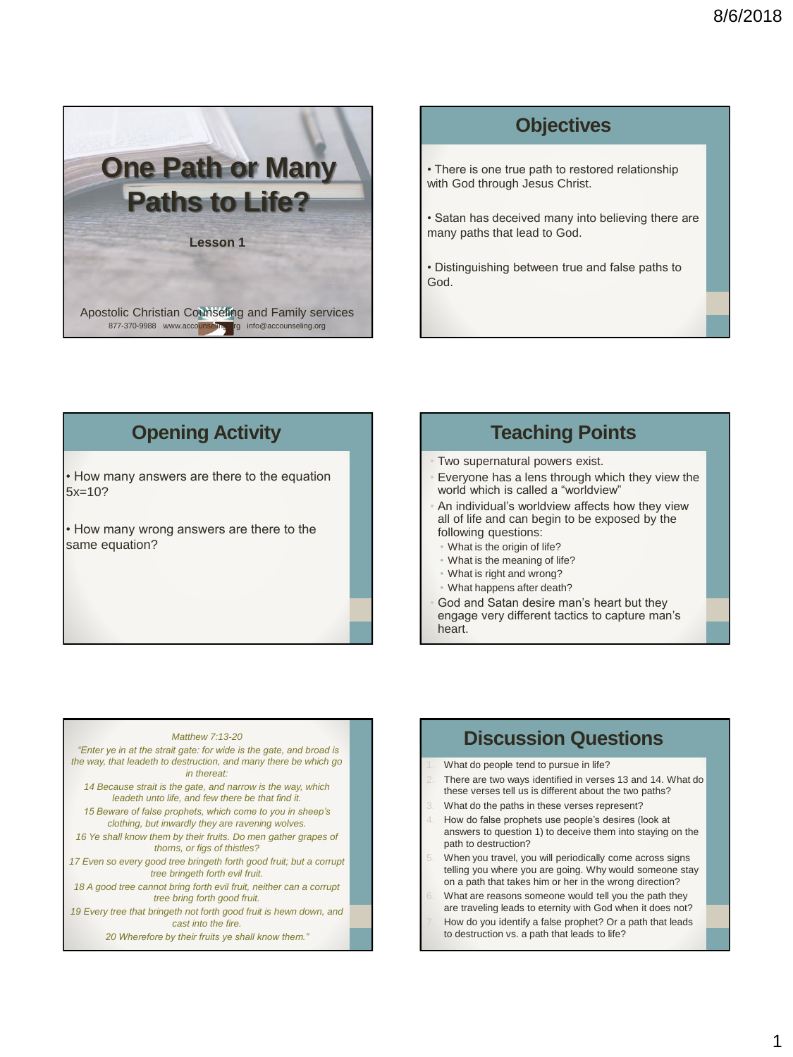

# **Objectives** • There is one true path to restored relationship with God through Jesus Christ. • Satan has deceived many into believing there are many paths that lead to God.

• Distinguishing between true and false paths to God.

#### **Opening Activity**

• How many answers are there to the equation 5x=10?

• How many wrong answers are there to the same equation?

#### **Teaching Points**

- Two supernatural powers exist.
- Everyone has a lens through which they view the world which is called a "worldview"
- An individual's worldview affects how they view all of life and can begin to be exposed by the following questions:
- What is the origin of life?
- What is the meaning of life?
- What is right and wrong?
- What happens after death?
- God and Satan desire man's heart but they engage very different tactics to capture man's heart.

#### *Matthew 7:13-20*

*"Enter ye in at the strait gate: for wide is the gate, and broad is the way, that leadeth to destruction, and many there be which go in thereat: 14 Because strait is the gate, and narrow is the way, which leadeth unto life, and few there be that find it. 15 Beware of false prophets, which come to you in sheep's clothing, but inwardly they are ravening wolves. 16 Ye shall know them by their fruits. Do men gather grapes of thorns, or figs of thistles? 17 Even so every good tree bringeth forth good fruit; but a corrupt tree bringeth forth evil fruit. 18 A good tree cannot bring forth evil fruit, neither can a corrupt tree bring forth good fruit. 19 Every tree that bringeth not forth good fruit is hewn down, and cast into the fire. 20 Wherefore by their fruits ye shall know them."*

#### **Discussion Questions**

What do people tend to pursue in life?

- There are two ways identified in verses 13 and 14. What do these verses tell us is different about the two paths?
- What do the paths in these verses represent?
- 4. How do false prophets use people's desires (look at answers to question 1) to deceive them into staying on the path to destruction?
- When you travel, you will periodically come across signs telling you where you are going. Why would someone stay on a path that takes him or her in the wrong direction?
- What are reasons someone would tell you the path they are traveling leads to eternity with God when it does not?
- How do you identify a false prophet? Or a path that leads to destruction vs. a path that leads to life?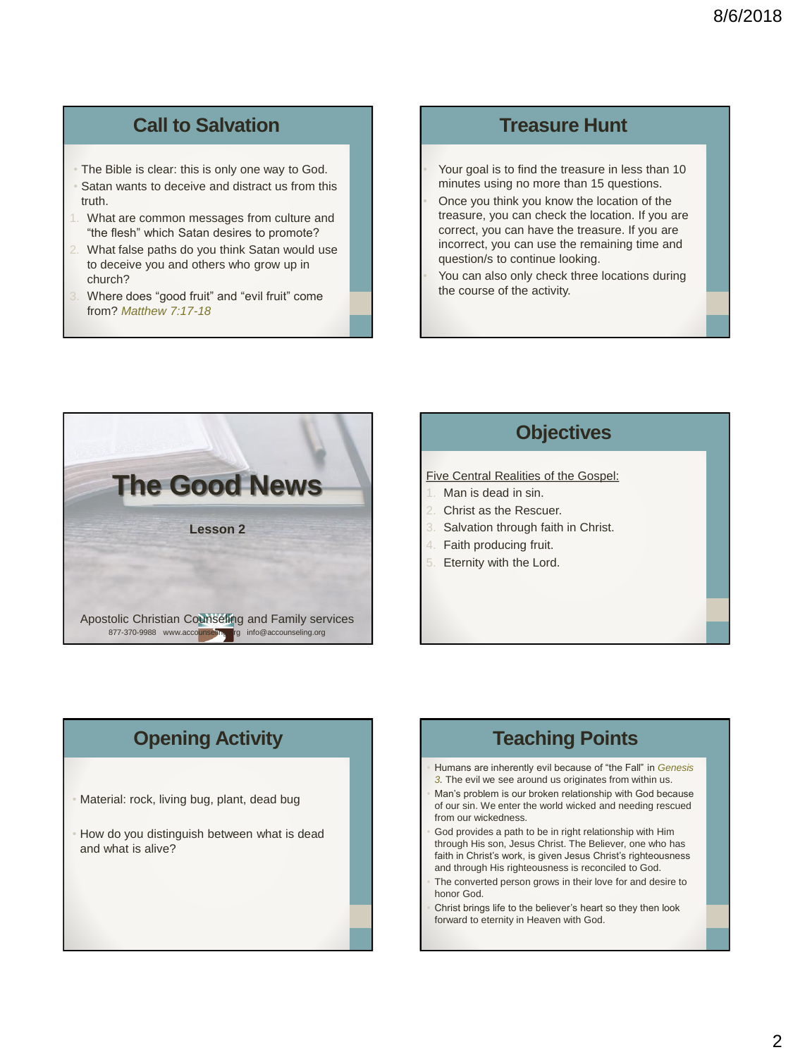## **Call to Salvation**

- The Bible is clear: this is only one way to God.
- Satan wants to deceive and distract us from this truth.
- What are common messages from culture and "the flesh" which Satan desires to promote?
- 2. What false paths do you think Satan would use to deceive you and others who grow up in church?
- Where does "good fruit" and "evil fruit" come from? *Matthew 7:17-18*

#### **Treasure Hunt**

• Your goal is to find the treasure in less than 10 minutes using no more than 15 questions. • Once you think you know the location of the treasure, you can check the location. If you are correct, you can have the treasure. If you are incorrect, you can use the remaining time and question/s to continue looking.

You can also only check three locations during the course of the activity.



#### **Objectives**

#### Five Central Realities of the Gospel:

- Man is dead in sin.
- Christ as the Rescuer.
- Salvation through faith in Christ.
- 4. Faith producing fruit.
- Eternity with the Lord.

#### **Opening Activity**

- Material: rock, living bug, plant, dead bug
- How do you distinguish between what is dead and what is alive?

#### **Teaching Points**

- Humans are inherently evil because of "the Fall" in *Genesis 3.* The evil we see around us originates from within us.
- Man's problem is our broken relationship with God because of our sin. We enter the world wicked and needing rescued from our wickedness.
- God provides a path to be in right relationship with Him through His son, Jesus Christ. The Believer, one who has faith in Christ's work, is given Jesus Christ's righteousness and through His righteousness is reconciled to God.
- The converted person grows in their love for and desire to honor God.
- Christ brings life to the believer's heart so they then look forward to eternity in Heaven with God.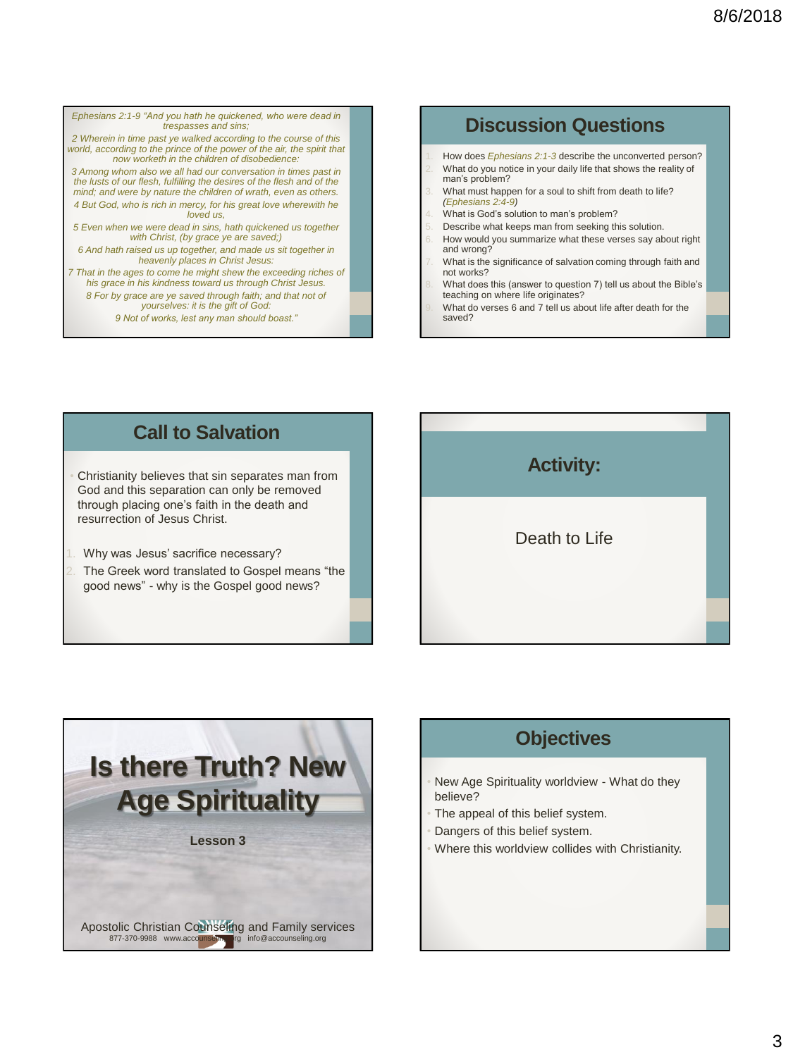*Ephesians 2:1-9 "And you hath he quickened, who were dead in trespasses and sins; 2 Wherein in time past ye walked according to the course of this*  world, according to the prince of the power of the air, the spirit that *now worketh in the children of disobedience: 3 Among whom also we all had our conversation in times past in the lusts of our flesh, fulfilling the desires of the flesh and of the mind; and were by nature the children of wrath, even as others. 4 But God, who is rich in mercy, for his great love wherewith he loved us, 5 Even when we were dead in sins, hath quickened us together with Christ, (by grace ye are saved;) 6 And hath raised us up together, and made us sit together in heavenly places in Christ Jesus: 7 That in the ages to come he might shew the exceeding riches of his grace in his kindness toward us through Christ Jesus. 8 For by grace are ye saved through faith; and that not of yourselves: it is the gift of God:* 

*9 Not of works, lest any man should boast."*

### **Discussion Questions**

- 1. How does *Ephesians 2:1-3* describe the unconverted person? What do you notice in your daily life that shows the reality of man's problem?
- What must happen for a soul to shift from death to life? *(Ephesians 2:4-9)*
- What is God's solution to man's problem?
- Describe what keeps man from seeking this solution.
- How would you summarize what these verses say about right and wrong?
- What is the significance of salvation coming through faith and not works?
- 8. What does this (answer to question 7) tell us about the Bible's teaching on where life originates?
- What do verses 6 and 7 tell us about life after death for the saved?

#### **Call to Salvation**

Christianity believes that sin separates man from God and this separation can only be removed through placing one's faith in the death and resurrection of Jesus Christ.

- Why was Jesus' sacrifice necessary?
- The Greek word translated to Gospel means "the good news" - why is the Gospel good news?





#### **Objectives**

- New Age Spirituality worldview What do they believe?
- The appeal of this belief system.
- Dangers of this belief system.
- Where this worldview collides with Christianity.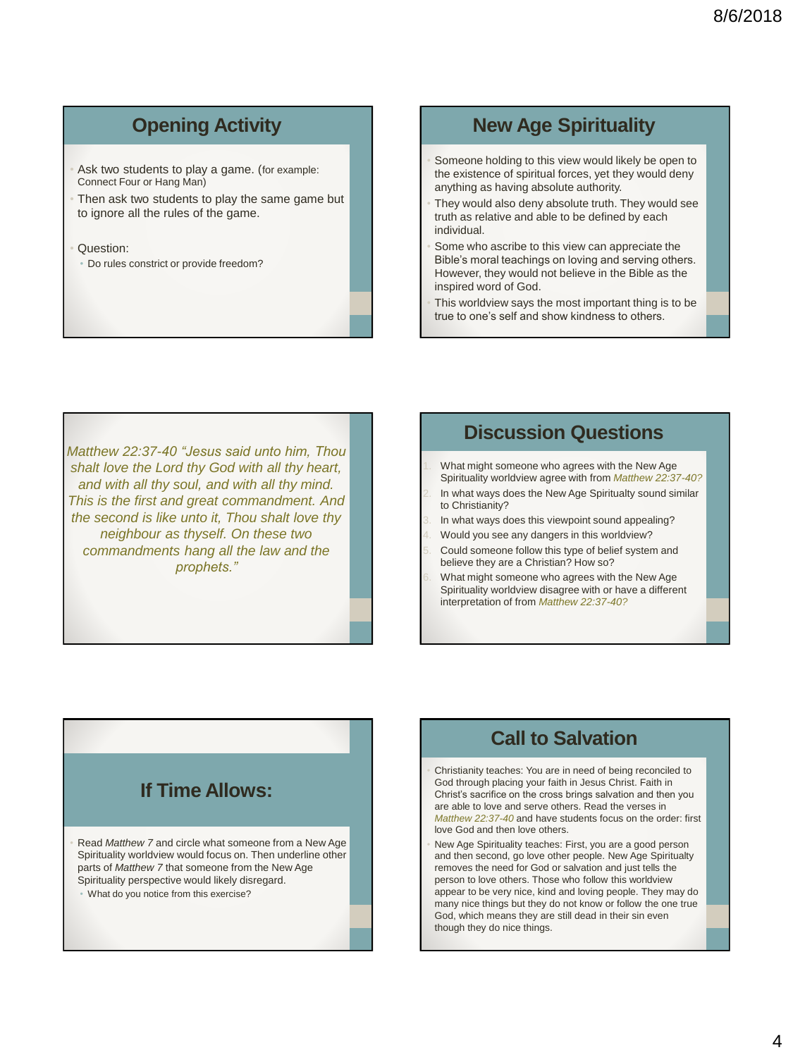# **Opening Activity**

- Ask two students to play a game. (for example: Connect Four or Hang Man)
- Then ask two students to play the same game but to ignore all the rules of the game.
- Question:
- Do rules constrict or provide freedom?

### **New Age Spirituality**

- Someone holding to this view would likely be open to the existence of spiritual forces, yet they would deny anything as having absolute authority.
- They would also deny absolute truth. They would see truth as relative and able to be defined by each individual.
- Some who ascribe to this view can appreciate the Bible's moral teachings on loving and serving others. However, they would not believe in the Bible as the inspired word of God.
- This worldview says the most important thing is to be true to one's self and show kindness to others.

*Matthew 22:37-40 "Jesus said unto him, Thou shalt love the Lord thy God with all thy heart, and with all thy soul, and with all thy mind. This is the first and great commandment. And the second is like unto it, Thou shalt love thy neighbour as thyself. On these two commandments hang all the law and the prophets."*

#### **Discussion Questions**

- What might someone who agrees with the New Age Spirituality worldview agree with from *Matthew 22:37-40?*
- In what ways does the New Age Spiritualty sound similar to Christianity?
- In what ways does this viewpoint sound appealing?
- 4. Would you see any dangers in this worldview?
- Could someone follow this type of belief system and believe they are a Christian? How so?
- 6. What might someone who agrees with the New Age Spirituality worldview disagree with or have a different interpretation of from *Matthew 22:37-40?*

# **If Time Allows:**

• Read *Matthew 7* and circle what someone from a New Age Spirituality worldview would focus on. Then underline other parts of *Matthew 7* that someone from the New Age Spirituality perspective would likely disregard.

• What do you notice from this exercise?

## **Call to Salvation**

- Christianity teaches: You are in need of being reconciled to God through placing your faith in Jesus Christ. Faith in Christ's sacrifice on the cross brings salvation and then you are able to love and serve others. Read the verses in *Matthew 22:37-40* and have students focus on the order: first love God and then love others.
- New Age Spirituality teaches: First, you are a good person and then second, go love other people. New Age Spiritualty removes the need for God or salvation and just tells the person to love others. Those who follow this worldview appear to be very nice, kind and loving people. They may do many nice things but they do not know or follow the one true God, which means they are still dead in their sin even though they do nice things.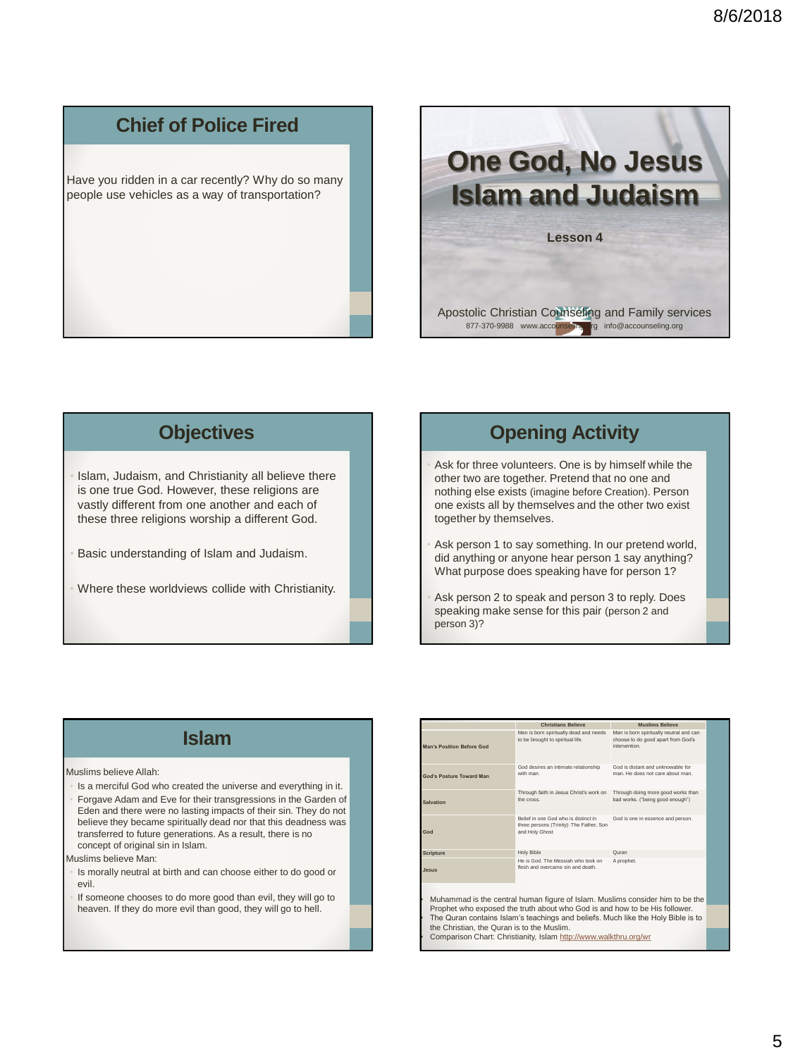## **Chief of Police Fired**

Have you ridden in a car recently? Why do so many people use vehicles as a way of transportation?



#### **Objectives**

Islam, Judaism, and Christianity all believe there is one true God. However, these religions are vastly different from one another and each of these three religions worship a different God.

- Basic understanding of Islam and Judaism.
- Where these worldviews collide with Christianity.

### **Opening Activity**

Ask for three volunteers. One is by himself while the other two are together. Pretend that no one and nothing else exists (imagine before Creation). Person one exists all by themselves and the other two exist together by themselves.

- Ask person 1 to say something. In our pretend world, did anything or anyone hear person 1 say anything? What purpose does speaking have for person 1?
- Ask person 2 to speak and person 3 to reply. Does speaking make sense for this pair (person 2 and person 3)?

#### **Islam**

Muslims believe Allah:

• Is a merciful God who created the universe and everything in it. • Forgave Adam and Eve for their transgressions in the Garden of Eden and there were no lasting impacts of their sin. They do not believe they became spiritually dead nor that this deadness was transferred to future generations. As a result, there is no concept of original sin in Islam.

Muslims believe Man:

- Is morally neutral at birth and can choose either to do good or evil.
- If someone chooses to do more good than evil, they will go to heaven. If they do more evil than good, they will go to hell.

|                                                                                                                                                                | <b>Christians Believe</b>                                                                          | <b>Muslims Believe</b>                                                                        |  |
|----------------------------------------------------------------------------------------------------------------------------------------------------------------|----------------------------------------------------------------------------------------------------|-----------------------------------------------------------------------------------------------|--|
| Man's Position Before God                                                                                                                                      | Man is born spiritually dead and needs<br>to be brought to spiritual life.                         | Man is born spiritually neutral and can<br>choose to do good apart from God's<br>intervention |  |
| God's Posture Toward Man                                                                                                                                       | God desires an intimate relationship<br>with man                                                   | God is distant and unknowable for<br>man. He does not care about man.                         |  |
| Salvation                                                                                                                                                      | Through faith in Jesus Christ's work on<br>the cross                                               | Through doing more good works than<br>bad works. ("being good enough")                        |  |
| God                                                                                                                                                            | Belief in one God who is distinct in<br>three persons (Trinity): The Father, Son<br>and Holy Ghost | God is one in essence and person.                                                             |  |
| <b>Scripture</b>                                                                                                                                               | <b>Holy Bible</b>                                                                                  | Quran                                                                                         |  |
| auzel.                                                                                                                                                         | He is God. The Messiah who took on<br>flesh and overcame sin and death                             | A prophet.                                                                                    |  |
| Muhammad is the central human figure of Islam. Muslims consider him to be the                                                                                  |                                                                                                    |                                                                                               |  |
| Prophet who exposed the truth about who God is and how to be His follower.<br>The Quran contains Islam's teachings and beliefs. Much like the Holy Bible is to |                                                                                                    |                                                                                               |  |
| the Christian, the Quran is to the Muslim.<br>Comparison Chart: Christianity, Islam http://www.walkthru.org/wr                                                 |                                                                                                    |                                                                                               |  |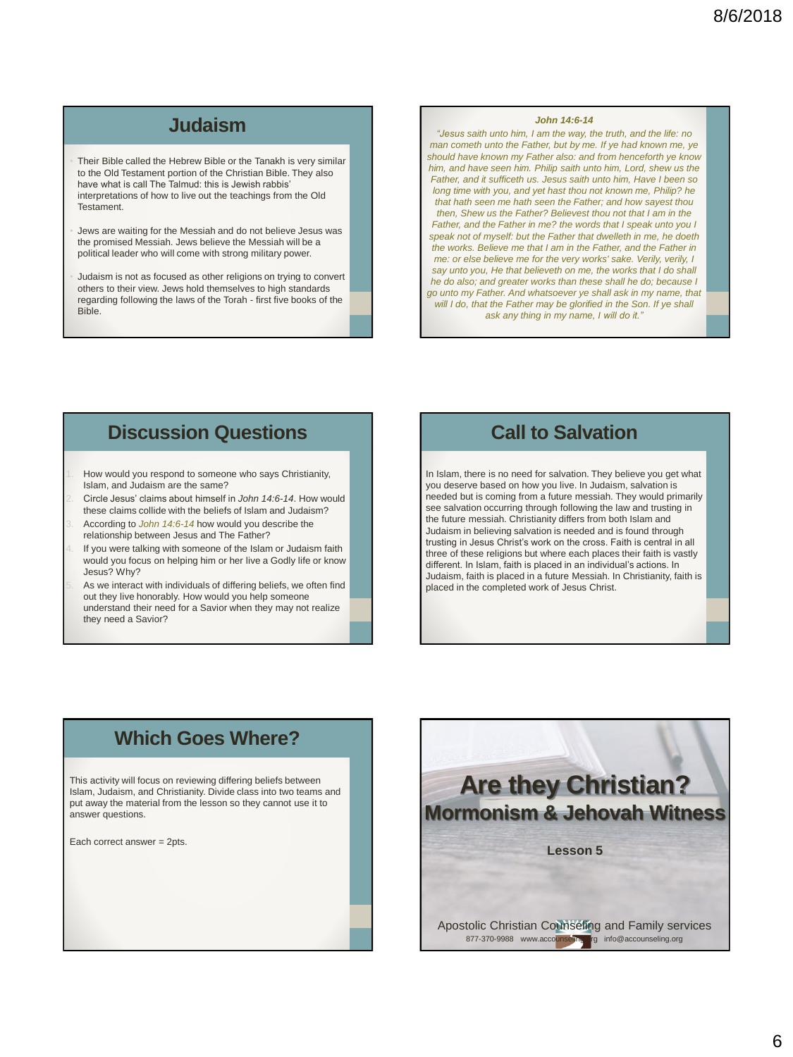## **Judaism**

- Their Bible called the Hebrew Bible or the Tanakh is very similar to the Old Testament portion of the Christian Bible. They also have what is call The Talmud: this is Jewish rabbis' interpretations of how to live out the teachings from the Old Testament.
- Jews are waiting for the Messiah and do not believe Jesus was the promised Messiah. Jews believe the Messiah will be a political leader who will come with strong military power.
- Judaism is not as focused as other religions on trying to convert others to their view. Jews hold themselves to high standards regarding following the laws of the Torah - first five books of the Bible.

#### *John 14:6-14*

*"Jesus saith unto him, I am the way, the truth, and the life: no man cometh unto the Father, but by me. If ye had known me, ye should have known my Father also: and from henceforth ye know him, and have seen him. Philip saith unto him, Lord, shew us the Father, and it sufficeth us. Jesus saith unto him, Have I been so long time with you, and yet hast thou not known me, Philip? he that hath seen me hath seen the Father; and how sayest thou then, Shew us the Father? Believest thou not that I am in the Father, and the Father in me? the words that I speak unto you I speak not of myself: but the Father that dwelleth in me, he doeth the works. Believe me that I am in the Father, and the Father in me: or else believe me for the very works' sake. Verily, verily, I say unto you, He that believeth on me, the works that I do shall he do also; and greater works than these shall he do; because I go unto my Father. And whatsoever ye shall ask in my name, that will I do, that the Father may be glorified in the Son. If ye shall ask any thing in my name, I will do it."*

#### **Discussion Questions**

- How would you respond to someone who says Christianity, Islam, and Judaism are the same?
- 2. Circle Jesus' claims about himself in *John 14:6-14*. How would these claims collide with the beliefs of Islam and Judaism?
- 3. According to *John 14:6-14* how would you describe the relationship between Jesus and The Father?
- If you were talking with someone of the Islam or Judaism faith would you focus on helping him or her live a Godly life or know Jesus? Why?
- As we interact with individuals of differing beliefs, we often find out they live honorably. How would you help someone understand their need for a Savior when they may not realize they need a Savior?

#### **Call to Salvation**

In Islam, there is no need for salvation. They believe you get what you deserve based on how you live. In Judaism, salvation is needed but is coming from a future messiah. They would primarily see salvation occurring through following the law and trusting in the future messiah. Christianity differs from both Islam and Judaism in believing salvation is needed and is found through trusting in Jesus Christ's work on the cross. Faith is central in all three of these religions but where each places their faith is vastly different. In Islam, faith is placed in an individual's actions. In Judaism, faith is placed in a future Messiah. In Christianity, faith is placed in the completed work of Jesus Christ.

## **Which Goes Where?**

This activity will focus on reviewing differing beliefs between Islam, Judaism, and Christianity. Divide class into two teams and put away the material from the lesson so they cannot use it to answer questions.

Each correct answer = 2pts.

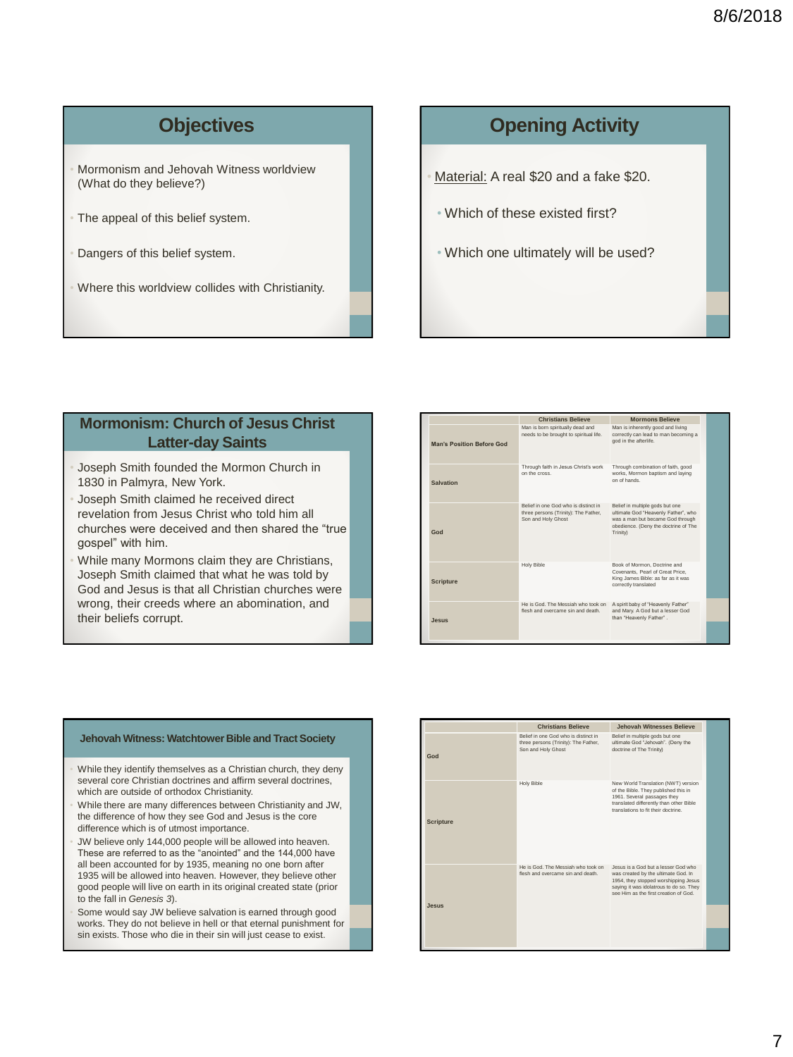# **Objectives**

- Mormonism and Jehovah Witness worldview (What do they believe?)
- The appeal of this belief system.
- Dangers of this belief system.
- Where this worldview collides with Christianity.

### **Opening Activity**

- Material: A real \$20 and a fake \$20.
	- Which of these existed first?
	- Which one ultimately will be used?

#### **Mormonism: Church of Jesus Christ Latter-day Saints**

- Joseph Smith founded the Mormon Church in 1830 in Palmyra, New York.
- Joseph Smith claimed he received direct revelation from Jesus Christ who told him all churches were deceived and then shared the "true gospel" with him.
- While many Mormons claim they are Christians, Joseph Smith claimed that what he was told by God and Jesus is that all Christian churches were wrong, their creeds where an abomination, and their beliefs corrupt.

|                           | <b>Christians Believe</b>                                                                          | <b>Mormons Believe</b>                                                                                                                                         |
|---------------------------|----------------------------------------------------------------------------------------------------|----------------------------------------------------------------------------------------------------------------------------------------------------------------|
| Man's Position Before God | Man is born spiritually dead and<br>needs to be brought to spiritual life.                         | Man is inherently good and living<br>correctly can lead to man becoming a<br>god in the afterlife.                                                             |
| Salvation                 | Through faith in Jesus Christ's work<br>on the cross.                                              | Through combination of faith, good<br>works. Mormon baptism and laving<br>on of hands                                                                          |
| God                       | Belief in one God who is distinct in<br>three persons (Trinity): The Father,<br>Son and Holy Ghost | Belief in multiple gods but one<br>ultimate God "Heavenly Father", who<br>was a man but became God through<br>obedience. (Deny the doctrine of The<br>Trinity) |
| <b>Scripture</b>          | Holy Bible                                                                                         | Book of Mormon, Doctrine and<br>Covenants, Pearl of Great Price.<br>King James Bible: as far as it was<br>correctly translated                                 |
| Jesus                     | He is God The Messiah who took on<br>flesh and overcame sin and death                              | A spirit baby of "Heavenly Father"<br>and Mary. A God but a lesser God<br>than "Heavenly Father".                                                              |

#### **Jehovah Witness: Watchtower Bible and Tract Society**

- While they identify themselves as a Christian church, they deny several core Christian doctrines and affirm several doctrines, which are outside of orthodox Christianity.
- While there are many differences between Christianity and JW, the difference of how they see God and Jesus is the core difference which is of utmost importance.
- JW believe only 144,000 people will be allowed into heaven. These are referred to as the "anointed" and the 144,000 have all been accounted for by 1935, meaning no one born after 1935 will be allowed into heaven. However, they believe other good people will live on earth in its original created state (prior to the fall in *Genesis 3*).
- Some would say JW believe salvation is earned through good works. They do not believe in hell or that eternal punishment for sin exists. Those who die in their sin will just cease to exist.

|                  | <b>Christians Believe</b>                                                                          | <b>Jehovah Witnesses Believe</b>                                                                                                                                                                      |
|------------------|----------------------------------------------------------------------------------------------------|-------------------------------------------------------------------------------------------------------------------------------------------------------------------------------------------------------|
| God              | Belief in one God who is distinct in<br>three persons (Trinity): The Father,<br>Son and Holy Ghost | Belief in multiple gods but one<br>ultimate God "Jehovah". (Deny the<br>doctrine of The Trinity)                                                                                                      |
| <b>Scripture</b> | Holy Bible                                                                                         | New World Translation (NWT) version<br>of the Bible. They published this in<br>1961. Several passages they<br>translated differently than other Bible<br>translations to fit their doctrine           |
| Jesus            | He is God. The Messiah who took on<br>flesh and overcame sin and death                             | Jesus is a God but a lesser God who<br>was created by the ultimate God. In<br>1954, they stopped worshipping Jesus<br>saving it was idolatrous to do so. They<br>see Him as the first creation of God |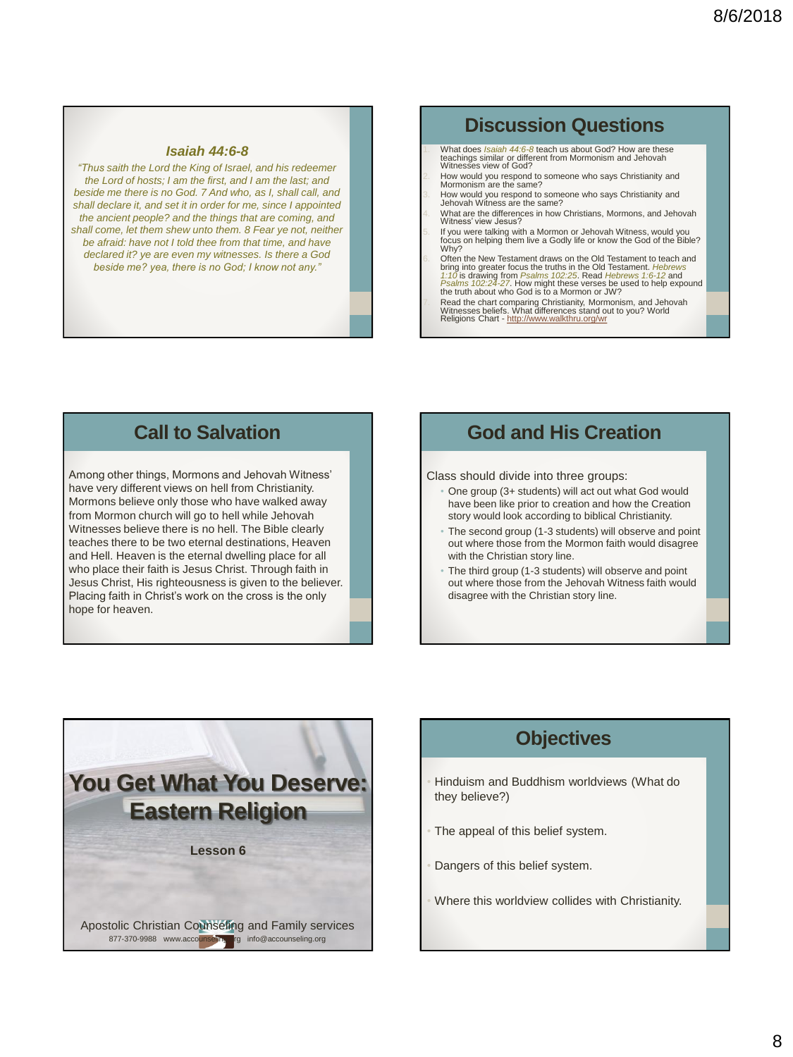#### *Isaiah 44:6-8*

*"Thus saith the Lord the King of Israel, and his redeemer the Lord of hosts; I am the first, and I am the last; and beside me there is no God. 7 And who, as I, shall call, and shall declare it, and set it in order for me, since I appointed the ancient people? and the things that are coming, and shall come, let them shew unto them. 8 Fear ye not, neither be afraid: have not I told thee from that time, and have declared it? ye are even my witnesses. Is there a God beside me? yea, there is no God; I know not any."*

#### **Discussion Questions**

- What does *Isaiah 44:6-8* teach us about God? How are these teachings similar or different from Mormonism and Jehovah Witnesses view of God?
- 2. How would you respond to someone who says Christianity and Mormonism are the same?
- 3. How would you respond to someone who says Christianity and Jehovah Witness are the same?
- 4. What are the differences in how Christians, Mormons, and Jehovah Witness' view Jesus?
- 5. If you were talking with a Mormon or Jehovah Witness, would you focus on helping them live a Godly life or know the God of the Bible? Why?
- 6. Often the New Testament draws on the Old Testament to teach and<br>bring into greater focus the truths in the Old Testament. Hebrews<br>f:10 is drawing from Psalms 102:25. Read Hebrews 1:6-12 and<br>Psalms 102:24-27. How might t
- 7. Read the chart comparing Christianity, Mormonism, and Jehovah<br>Witnesses beliefs. What differences stand out to you? World<br>Religions Chart <u><http://www.walkthru.org/wr></u>

#### **Call to Salvation**

Among other things, Mormons and Jehovah Witness' have very different views on hell from Christianity. Mormons believe only those who have walked away from Mormon church will go to hell while Jehovah Witnesses believe there is no hell. The Bible clearly teaches there to be two eternal destinations, Heaven and Hell. Heaven is the eternal dwelling place for all who place their faith is Jesus Christ. Through faith in Jesus Christ, His righteousness is given to the believer. Placing faith in Christ's work on the cross is the only hope for heaven.

#### **God and His Creation**

Class should divide into three groups:

- One group (3+ students) will act out what God would have been like prior to creation and how the Creation story would look according to biblical Christianity.
- The second group (1-3 students) will observe and point out where those from the Mormon faith would disagree with the Christian story line.
- The third group (1-3 students) will observe and point out where those from the Jehovah Witness faith would disagree with the Christian story line.



#### **Objectives**

- Hinduism and Buddhism worldviews (What do they believe?)
- The appeal of this belief system.
- Dangers of this belief system.
- Where this worldview collides with Christianity.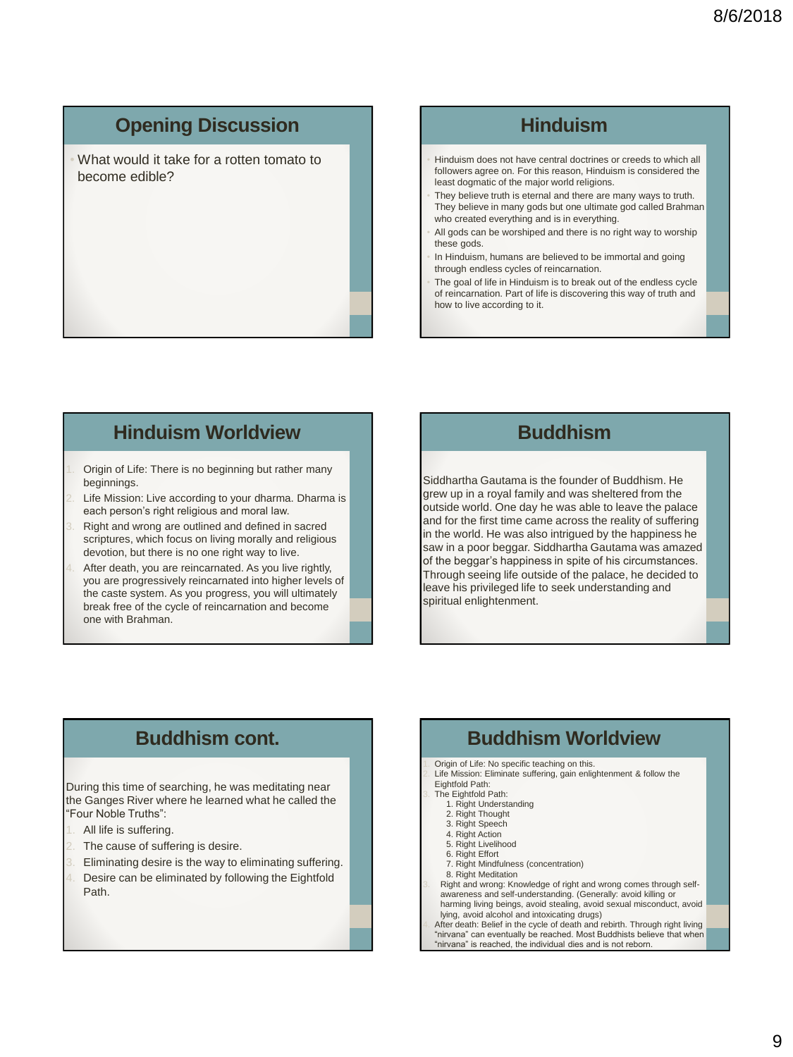## **Opening Discussion**

• What would it take for a rotten tomato to become edible?

## **Hinduism**

- Hinduism does not have central doctrines or creeds to which all followers agree on. For this reason, Hinduism is considered the least dogmatic of the major world religions.
- They believe truth is eternal and there are many ways to truth. They believe in many gods but one ultimate god called Brahman who created everything and is in everything.
- All gods can be worshiped and there is no right way to worship these gods.
- In Hinduism, humans are believed to be immortal and going through endless cycles of reincarnation.
- The goal of life in Hinduism is to break out of the endless cycle of reincarnation. Part of life is discovering this way of truth and how to live according to it.

#### **Hinduism Worldview**

- Origin of Life: There is no beginning but rather many beginnings.
- Life Mission: Live according to your dharma. Dharma is each person's right religious and moral law.
- Right and wrong are outlined and defined in sacred scriptures, which focus on living morally and religious devotion, but there is no one right way to live.
- After death, you are reincarnated. As you live rightly, you are progressively reincarnated into higher levels of the caste system. As you progress, you will ultimately break free of the cycle of reincarnation and become one with Brahman.

#### **Buddhism**

Siddhartha Gautama is the founder of Buddhism. He grew up in a royal family and was sheltered from the outside world. One day he was able to leave the palace and for the first time came across the reality of suffering in the world. He was also intrigued by the happiness he saw in a poor beggar. Siddhartha Gautama was amazed of the beggar's happiness in spite of his circumstances. Through seeing life outside of the palace, he decided to leave his privileged life to seek understanding and spiritual enlightenment.

## **Buddhism cont.**

During this time of searching, he was meditating near the Ganges River where he learned what he called the "Four Noble Truths":

- All life is suffering.
- The cause of suffering is desire.
- Eliminating desire is the way to eliminating suffering.
- Desire can be eliminated by following the Eightfold Path.

## **Buddhism Worldview**

Origin of Life: No specific teaching on this.

- Life Mission: Eliminate suffering, gain enlightenment & follow the Eightfold Path:
- Eighted Path:
	- 1. Right Understanding
	- 2. Right Thought
	- 3. Right Speech
	- 4. Right Action 5. Right Livelihood
	- 6. Right Effort
	- 7. Right Mindfulness (concentration)
	- 8. Right Meditation
- Right and wrong: Knowledge of right and wrong comes through selfawareness and self-understanding. (Generally: avoid killing or harming living beings, avoid stealing, avoid sexual misconduct, avoid

lying, avoid alcohol and intoxicating drugs) 4. After death: Belief in the cycle of death and rebirth. Through right living "nirvana" can eventually be reached. Most Buddhists believe that when "nirvana" is reached, the individual dies and is not reborn.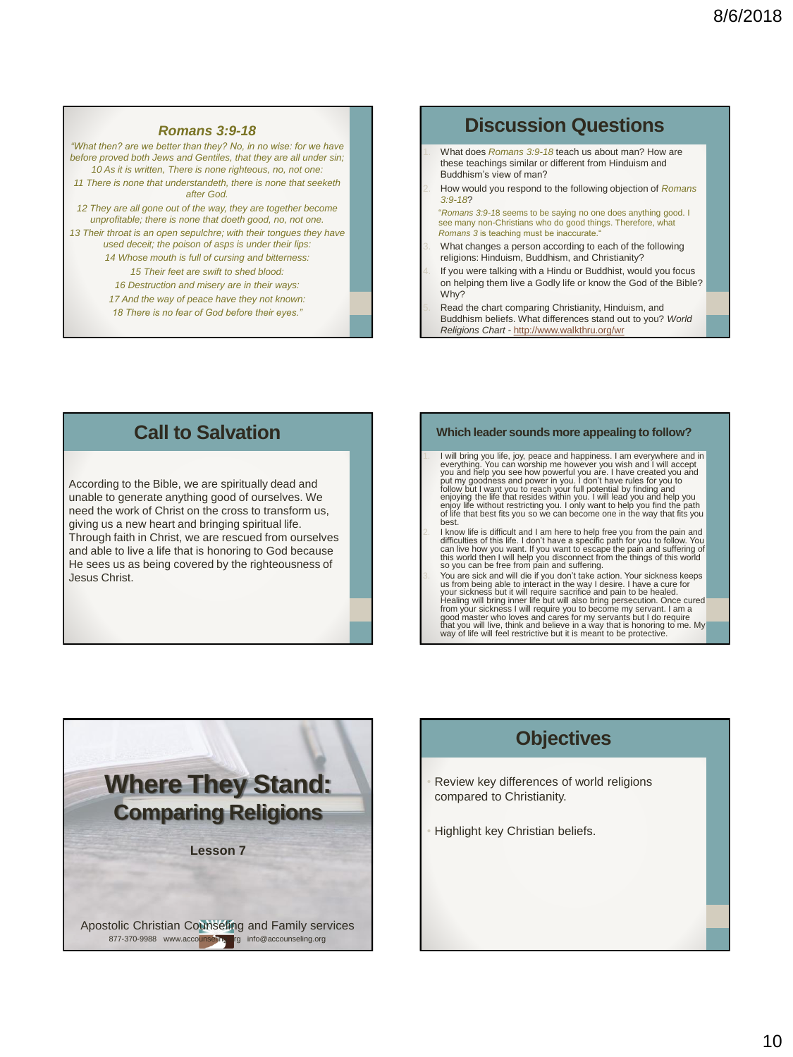#### *Romans 3:9-18*

*"What then? are we better than they? No, in no wise: for we have before proved both Jews and Gentiles, that they are all under sin; 10 As it is written, There is none righteous, no, not one: 11 There is none that understandeth, there is none that seeketh after God.* 

*12 They are all gone out of the way, they are together become unprofitable; there is none that doeth good, no, not one.* 

*13 Their throat is an open sepulchre; with their tongues they have used deceit; the poison of asps is under their lips: 14 Whose mouth is full of cursing and bitterness: 15 Their feet are swift to shed blood: 16 Destruction and misery are in their ways:* 

*17 And the way of peace have they not known:* 

*18 There is no fear of God before their eyes."*

#### **Discussion Questions**

- 1. What does *Romans 3:9-18* teach us about man? How are these teachings similar or different from Hinduism and Buddhism's view of man?
- 2. How would you respond to the following objection of *Romans 3:9-18*?

"*Romans 3:9-1*8 seems to be saying no one does anything good. I see many non-Christians who do good things. Therefore, what *Romans 3* is teaching must be inaccurate."

- What changes a person according to each of the following religions: Hinduism, Buddhism, and Christianity?
- If you were talking with a Hindu or Buddhist, would you focus on helping them live a Godly life or know the God of the Bible? Why?

Read the chart comparing Christianity, Hinduism, and Buddhism beliefs. What differences stand out to you? *World Religions Chart -* <http://www.walkthru.org/wr>

#### **Call to Salvation**

According to the Bible, we are spiritually dead and unable to generate anything good of ourselves. We need the work of Christ on the cross to transform us, giving us a new heart and bringing spiritual life. Through faith in Christ, we are rescued from ourselves and able to live a life that is honoring to God because He sees us as being covered by the righteousness of Jesus Christ.

#### **Which leader sounds more appealing to follow?**

1 I will bring you life, joy, peace and happiness. I am everywhere and in everything. You can worship me however you wish and I will accept you and help you ase how powerful you are. I have created you and put my goodness enjoy life without restricting you. I only want to help you find the path of life that best fits you so we can become one in the way that fits you best.

I know life is difficult and I am here to help free you from the pain and difficulties of this life. I don't have a specific path for you to follow. You<br>can live how you want. If you want to escape the pain and suffering of<br>this world then I will help you disconnect from the things of this world

3. You are sick and will die if you don't take action. Your sickness keeps us from being able to interact in the way I desire. I have a cure for your sickness but it will require sacrifice and pain to be healed. Healing wi



## **Objectives**

- Review key differences of world religions compared to Christianity.
- Highlight key Christian beliefs.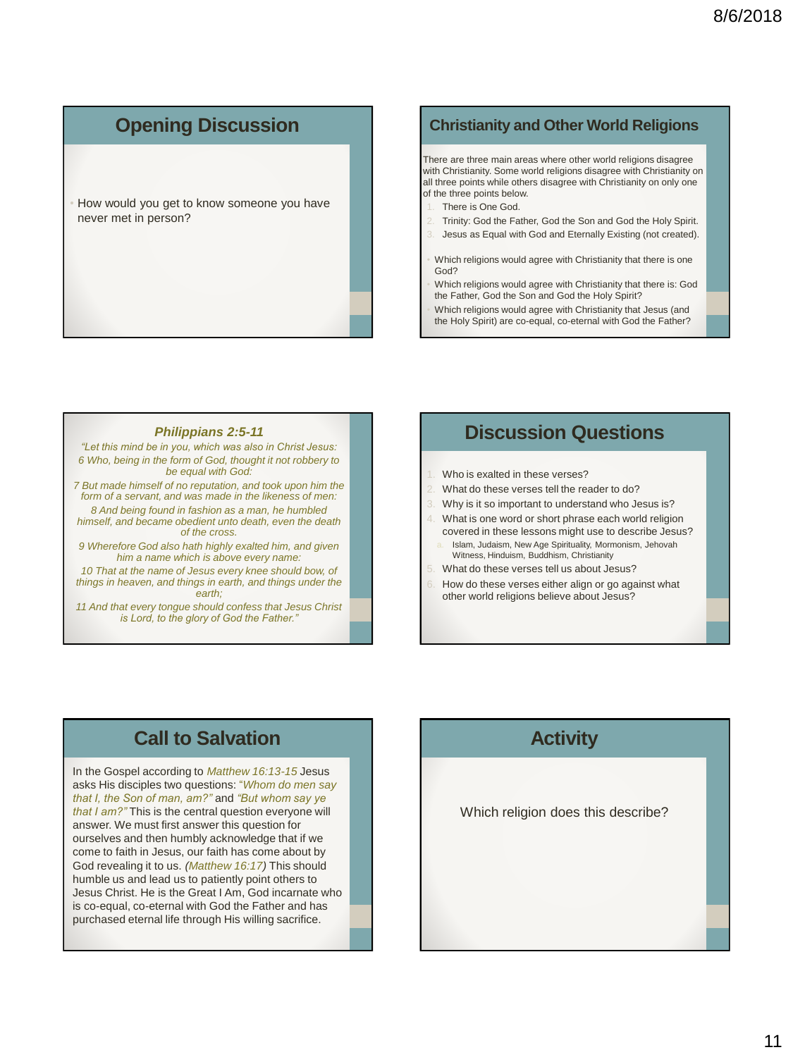## **Opening Discussion**

• How would you get to know someone you have never met in person?

#### **Christianity and Other World Religions**

There are three main areas where other world religions disagree with Christianity. Some world religions disagree with Christianity on all three points while others disagree with Christianity on only one of the three points below.

- There is One God.
- 2. Trinity: God the Father, God the Son and God the Holy Spirit.
- Jesus as Equal with God and Eternally Existing (not created).
- Which religions would agree with Christianity that there is one God?
- Which religions would agree with Christianity that there is: God the Father, God the Son and God the Holy Spirit?
- Which religions would agree with Christianity that Jesus (and the Holy Spirit) are co-equal, co-eternal with God the Father?

#### *Philippians 2:5-11*

*"Let this mind be in you, which was also in Christ Jesus: 6 Who, being in the form of God, thought it not robbery to be equal with God:* 

*7 But made himself of no reputation, and took upon him the form of a servant, and was made in the likeness of men:* 

*8 And being found in fashion as a man, he humbled himself, and became obedient unto death, even the death of the cross.* 

*9 Wherefore God also hath highly exalted him, and given him a name which is above every name:* 

*10 That at the name of Jesus every knee should bow, of things in heaven, and things in earth, and things under the earth;* 

*11 And that every tongue should confess that Jesus Christ is Lord, to the glory of God the Father."*

#### **Discussion Questions**

- Who is evalted in these verses?
- 2. What do these verses tell the reader to do?
- Why is it so important to understand who Jesus is?
- What is one word or short phrase each world religion covered in these lessons might use to describe Jesus?
- Islam, Judaism, New Age Spirituality, Mormonism, Jehovah Witness, Hinduism, Buddhism, Christianity
- 5. What do these verses tell us about Jesus?
- How do these verses either align or go against what other world religions believe about Jesus?

#### **Call to Salvation**

In the Gospel according to *Matthew 16:13-15* Jesus asks His disciples two questions: "*Whom do men say that I, the Son of man, am?"* and *"But whom say ye that I am?"* This is the central question everyone will answer. We must first answer this question for ourselves and then humbly acknowledge that if we come to faith in Jesus, our faith has come about by God revealing it to us. *(Matthew 16:17)* This should humble us and lead us to patiently point others to Jesus Christ. He is the Great I Am, God incarnate who is co-equal, co-eternal with God the Father and has purchased eternal life through His willing sacrifice.

## **Activity**

Which religion does this describe?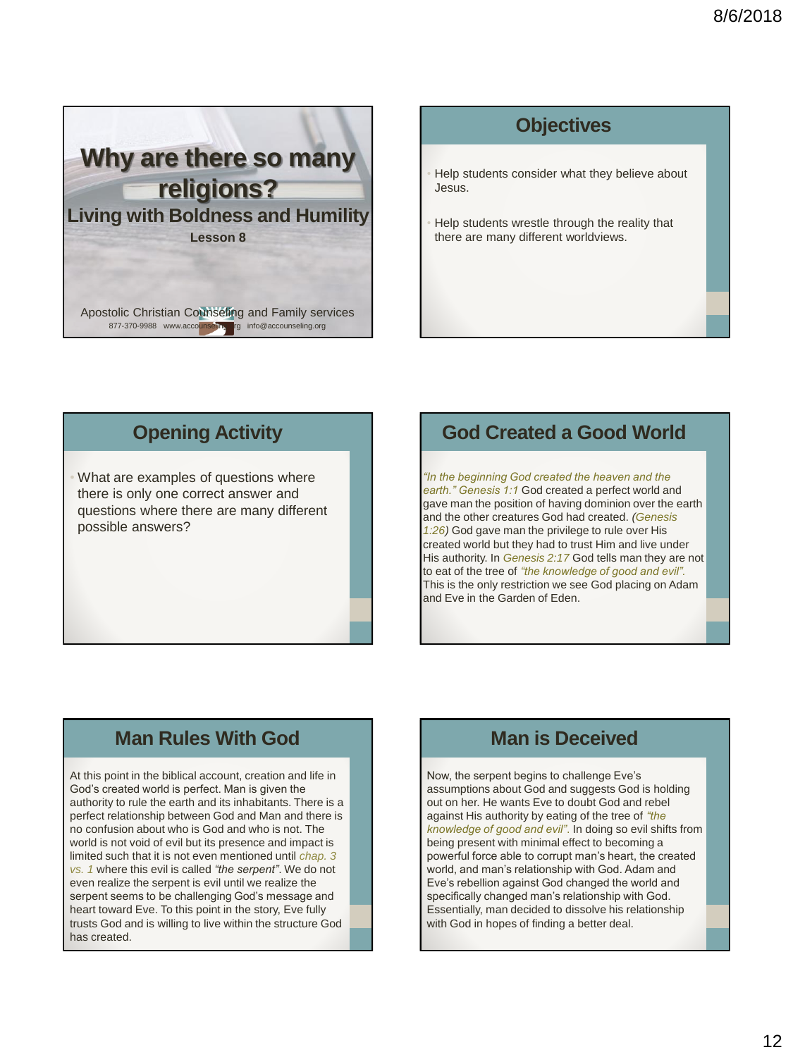

### **Objectives**

Help students consider what they believe about Jesus.

• Help students wrestle through the reality that there are many different worldviews.

#### **Opening Activity**

What are examples of questions where there is only one correct answer and questions where there are many different possible answers?

#### **God Created a Good World**

*"In the beginning God created the heaven and the earth." Genesis 1:1* God created a perfect world and gave man the position of having dominion over the earth and the other creatures God had created. *(Genesis 1:26)* God gave man the privilege to rule over His created world but they had to trust Him and live under His authority. In *Genesis 2:17* God tells man they are not to eat of the tree of *"the knowledge of good and evil".*  This is the only restriction we see God placing on Adam and Eve in the Garden of Eden.

#### **Man Rules With God**

At this point in the biblical account, creation and life in God's created world is perfect. Man is given the authority to rule the earth and its inhabitants. There is a perfect relationship between God and Man and there is no confusion about who is God and who is not. The world is not void of evil but its presence and impact is limited such that it is not even mentioned until *chap. 3 vs. 1* where this evil is called *"the serpent"*. We do not even realize the serpent is evil until we realize the serpent seems to be challenging God's message and heart toward Eve. To this point in the story, Eve fully trusts God and is willing to live within the structure God has created.

## **Man is Deceived**

Now, the serpent begins to challenge Eve's assumptions about God and suggests God is holding out on her. He wants Eve to doubt God and rebel against His authority by eating of the tree of *"the knowledge of good and evil"*. In doing so evil shifts from being present with minimal effect to becoming a powerful force able to corrupt man's heart, the created world, and man's relationship with God. Adam and Eve's rebellion against God changed the world and specifically changed man's relationship with God. Essentially, man decided to dissolve his relationship with God in hopes of finding a better deal.